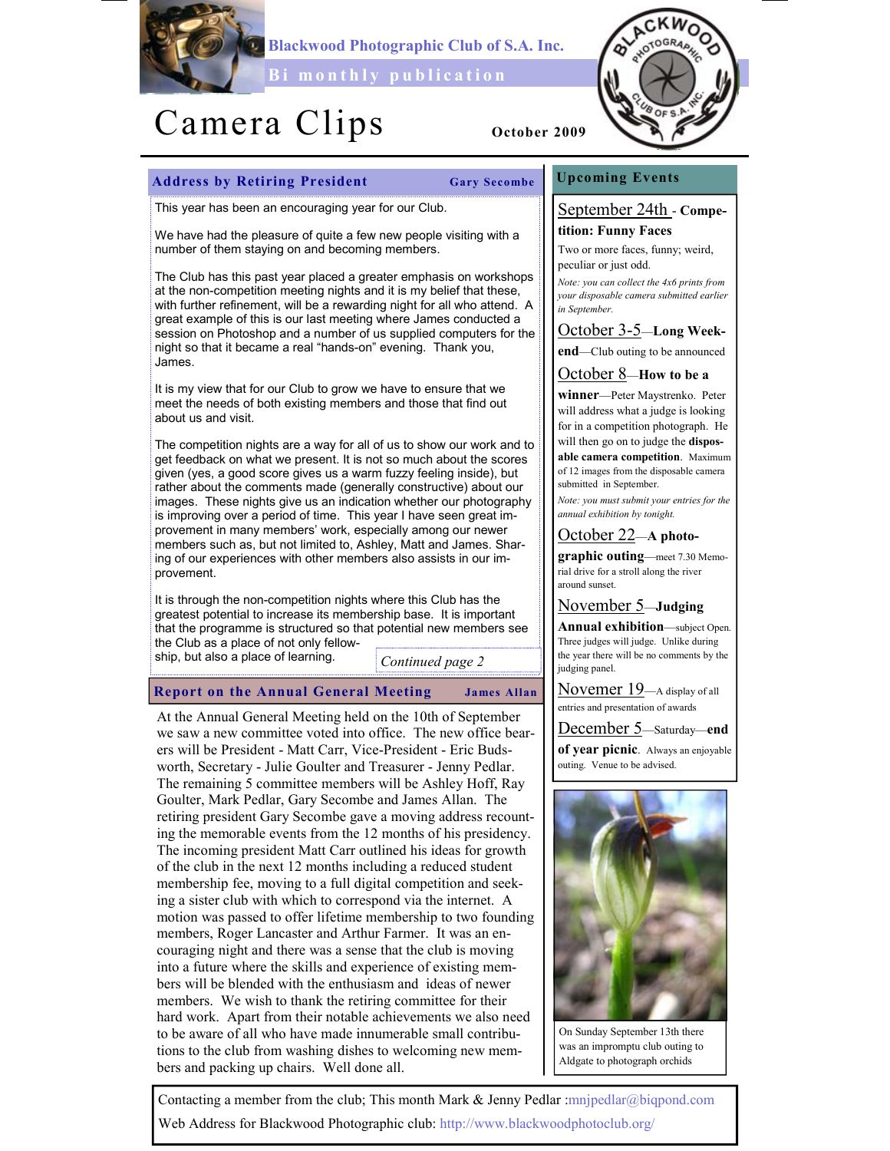

Blackwood Photographic Club of S.A. Inc.

Bi monthly publication

# Camera Clips <sub>October 2009</sub>



## Address by Retiring President Gary Secombe

This year has been an encouraging year for our Club.

We have had the pleasure of quite a few new people visiting with a number of them staying on and becoming members.

The Club has this past year placed a greater emphasis on workshops at the non-competition meeting nights and it is my belief that these, with further refinement, will be a rewarding night for all who attend. A great example of this is our last meeting where James conducted a session on Photoshop and a number of us supplied computers for the night so that it became a real "hands-on" evening. Thank you, James.

It is my view that for our Club to grow we have to ensure that we meet the needs of both existing members and those that find out about us and visit.

The competition nights are a way for all of us to show our work and to get feedback on what we present. It is not so much about the scores given (yes, a good score gives us a warm fuzzy feeling inside), but rather about the comments made (generally constructive) about our images. These nights give us an indication whether our photography is improving over a period of time. This year I have seen great improvement in many members' work, especially among our newer members such as, but not limited to, Ashley, Matt and James. Sharing of our experiences with other members also assists in our improvement.

It is through the non-competition nights where this Club has the greatest potential to increase its membership base. It is important that the programme is structured so that potential new members see the Club as a place of not only fellow-

ship, but also a place of learning.

Continued page 2

Report on the Annual General Meeting James Allan

At the Annual General Meeting held on the 10th of September we saw a new committee voted into office. The new office bearers will be President - Matt Carr, Vice-President - Eric Budsworth, Secretary - Julie Goulter and Treasurer - Jenny Pedlar. The remaining 5 committee members will be Ashley Hoff, Ray Goulter, Mark Pedlar, Gary Secombe and James Allan. The retiring president Gary Secombe gave a moving address recounting the memorable events from the 12 months of his presidency. The incoming president Matt Carr outlined his ideas for growth of the club in the next 12 months including a reduced student membership fee, moving to a full digital competition and seeking a sister club with which to correspond via the internet. A motion was passed to offer lifetime membership to two founding members, Roger Lancaster and Arthur Farmer. It was an encouraging night and there was a sense that the club is moving into a future where the skills and experience of existing members will be blended with the enthusiasm and ideas of newer members. We wish to thank the retiring committee for their hard work. Apart from their notable achievements we also need to be aware of all who have made innumerable small contributions to the club from washing dishes to welcoming new members and packing up chairs. Well done all.

## Upcoming Events

## September 24th - Competition: Funny Faces

Two or more faces, funny; weird, peculiar or just odd.

Note: you can collect the 4x6 prints from your disposable camera submitted earlier in September.

# October 3-5—Long Week-

end—Club outing to be announced

# October 8—How to be a

winner—Peter Maystrenko. Peter will address what a judge is looking for in a competition photograph. He will then go on to judge the **dispos**able camera competition. Maximum of 12 images from the disposable camera submitted in September.

Note: you must submit your entries for the annual exhibition by tonight.

# October 22—A photo-

graphic outing—meet 7.30 Memorial drive for a stroll along the river around sunset.

November 5—Judging

Annual exhibition—subject Open. Three judges will judge. Unlike during the year there will be no comments by the judging panel.

Novemer 19—A display of all entries and presentation of awards

December 5—Saturday—end of year picnic. Always an enjoyable outing. Venue to be advised.



On Sunday September 13th there was an impromptu club outing to Aldgate to photograph orchids

Contacting a member from the club; This month Mark & Jenny Pedlar :mnjpedlar@biqpond.com Web Address for Blackwood Photographic club: http://www.blackwoodphotoclub.org/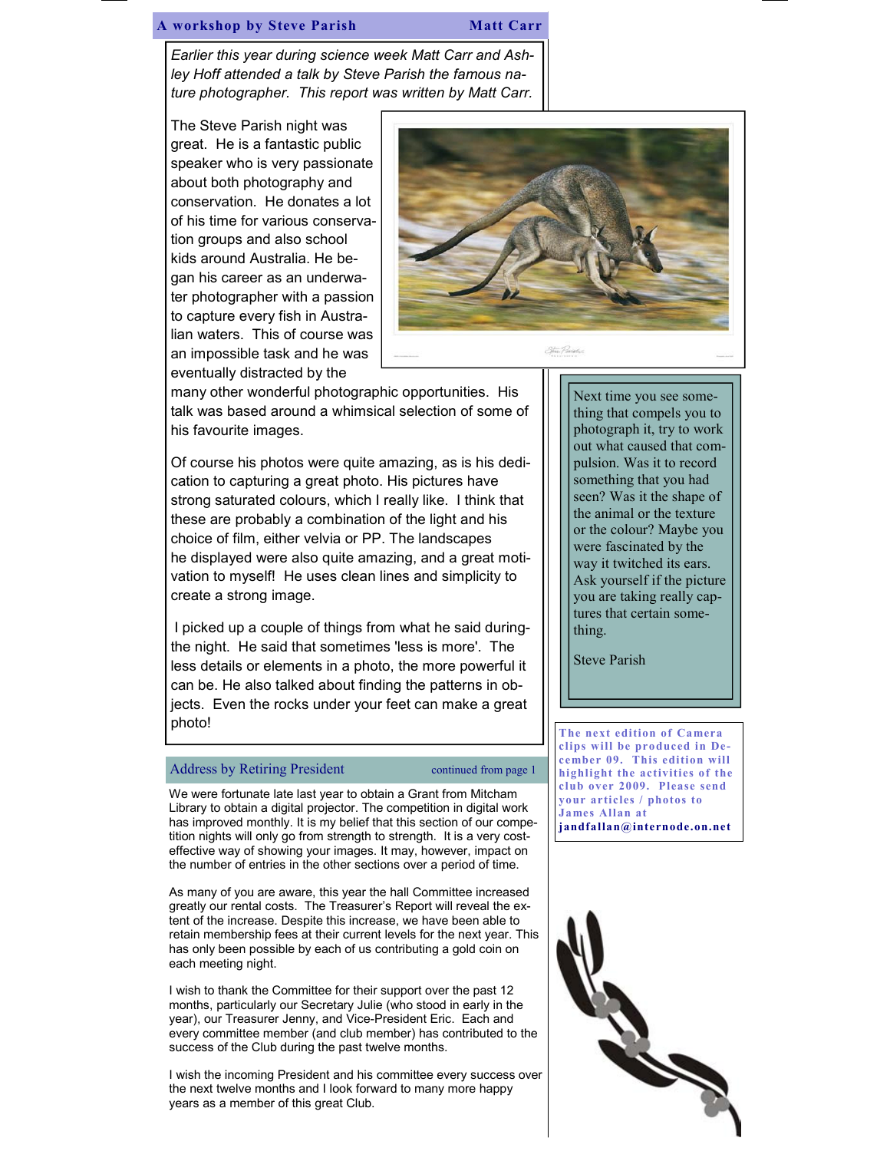### A workshop by Steve Parish Matt Carr

Earlier this year during science week Matt Carr and Ashley Hoff attended a talk by Steve Parish the famous nature photographer. This report was written by Matt Carr.

The Steve Parish night was great. He is a fantastic public speaker who is very passionate about both photography and conservation. He donates a lot of his time for various conservation groups and also school kids around Australia. He began his career as an underwater photographer with a passion to capture every fish in Australian waters. This of course was an impossible task and he was eventually distracted by the



many other wonderful photographic opportunities. His talk was based around a whimsical selection of some of his favourite images.

Of course his photos were quite amazing, as is his dedication to capturing a great photo. His pictures have strong saturated colours, which I really like. I think that these are probably a combination of the light and his choice of film, either velvia or PP. The landscapes he displayed were also quite amazing, and a great motivation to myself! He uses clean lines and simplicity to create a strong image.

I picked up a couple of things from what he said duringthe night. He said that sometimes 'less is more'. The less details or elements in a photo, the more powerful it can be. He also talked about finding the patterns in objects. Even the rocks under your feet can make a great photo!

## Address by Retiring President continued from page 1

We were fortunate late last year to obtain a Grant from Mitcham Library to obtain a digital projector. The competition in digital work has improved monthly. It is my belief that this section of our competition nights will only go from strength to strength. It is a very costeffective way of showing your images. It may, however, impact on the number of entries in the other sections over a period of time.

As many of you are aware, this year the hall Committee increased greatly our rental costs. The Treasurer's Report will reveal the extent of the increase. Despite this increase, we have been able to retain membership fees at their current levels for the next year. This has only been possible by each of us contributing a gold coin on each meeting night.

I wish to thank the Committee for their support over the past 12 months, particularly our Secretary Julie (who stood in early in the year), our Treasurer Jenny, and Vice-President Eric. Each and every committee member (and club member) has contributed to the success of the Club during the past twelve months.

I wish the incoming President and his committee every success over the next twelve months and I look forward to many more happy years as a member of this great Club.

Next time you see something that compels you to photograph it, try to work out what caused that compulsion. Was it to record something that you had seen? Was it the shape of the animal or the texture or the colour? Maybe you were fascinated by the way it twitched its ears. Ask yourself if the picture you are taking really captures that certain something.

Steve Parish

The next edition of Camera clips will be produced in December 09. This edition will highlight the activities of the club over 2009. Please send your articles / photos to James Allan at jandfallan@internode.on.net

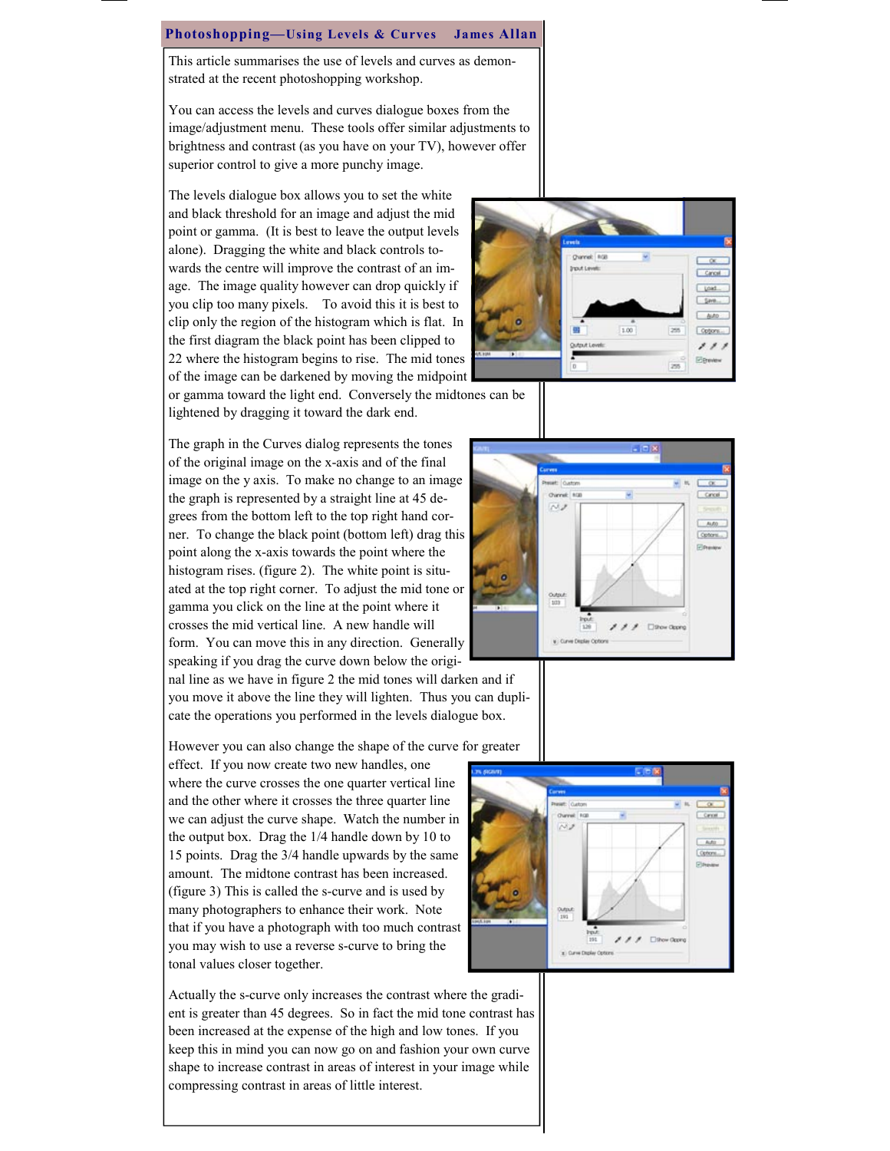#### Photoshopping—Using Levels & Curves James Allan

This article summarises the use of levels and curves as demonstrated at the recent photoshopping workshop.

You can access the levels and curves dialogue boxes from the image/adjustment menu. These tools offer similar adjustments to brightness and contrast (as you have on your TV), however offer superior control to give a more punchy image.

The levels dialogue box allows you to set the white and black threshold for an image and adjust the mid point or gamma. (It is best to leave the output levels alone). Dragging the white and black controls towards the centre will improve the contrast of an image. The image quality however can drop quickly if you clip too many pixels. To avoid this it is best to clip only the region of the histogram which is flat. In the first diagram the black point has been clipped to 22 where the histogram begins to rise. The mid tones of the image can be darkened by moving the midpoint



or gamma toward the light end. Conversely the midtones can be lightened by dragging it toward the dark end.

The graph in the Curves dialog represents the tones of the original image on the x-axis and of the final image on the y axis. To make no change to an image the graph is represented by a straight line at 45 degrees from the bottom left to the top right hand corner. To change the black point (bottom left) drag this point along the x-axis towards the point where the histogram rises. (figure 2). The white point is situated at the top right corner. To adjust the mid tone or gamma you click on the line at the point where it crosses the mid vertical line. A new handle will form. You can move this in any direction. Generally speaking if you drag the curve down below the origi-

nal line as we have in figure 2 the mid tones will darken and if you move it above the line they will lighten. Thus you can duplicate the operations you performed in the levels dialogue box.

However you can also change the shape of the curve for greater

effect. If you now create two new handles, one where the curve crosses the one quarter vertical line and the other where it crosses the three quarter line we can adjust the curve shape. Watch the number in the output box. Drag the 1/4 handle down by 10 to 15 points. Drag the 3/4 handle upwards by the same amount. The midtone contrast has been increased. (figure 3) This is called the s-curve and is used by many photographers to enhance their work. Note that if you have a photograph with too much contrast you may wish to use a reverse s-curve to bring the tonal values closer together.

Actually the s-curve only increases the contrast where the gradient is greater than 45 degrees. So in fact the mid tone contrast has been increased at the expense of the high and low tones. If you keep this in mind you can now go on and fashion your own curve shape to increase contrast in areas of interest in your image while compressing contrast in areas of little interest.